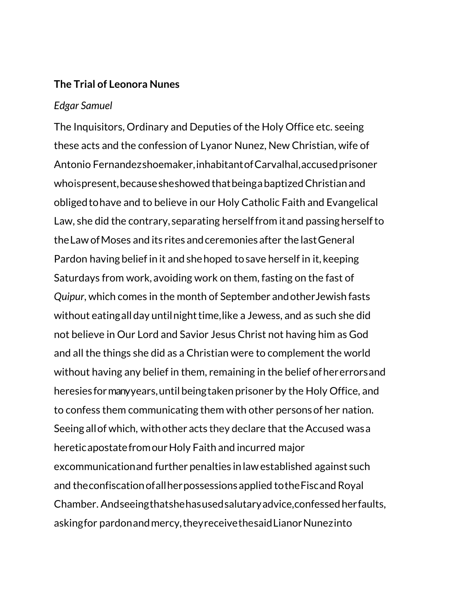## **The Trial of Leonora Nunes**

## *Edgar Samuel*

The Inquisitors, Ordinary and Deputies of the Holy Office etc. seeing these acts and the confession of Lyanor Nunez, New Christian, wife of Antonio Fernandezshoemaker,inhabitantof Carvalhal,accusedprisoner whoispresent,becausesheshowed thatbeingabaptizedChristianand obligedtohave and to believe in our Holy Catholic Faith and Evangelical Law, she did the contrary, separating herselffrom it and passing herself to theLaw ofMoses and its rites andceremonies after the lastGeneral Pardon having belief in it and shehoped tosave herself in it, keeping Saturdays from work, avoiding work on them, fasting on the fast of *Quipur*, which comes in the month of September andotherJewish fasts without eating all day until night time, like a Jewess, and as such she did not believe in Our Lord and Savior Jesus Christ not having him as God and all the things she did as a Christian were to complement the world without having any belief in them, remaining in the belief of hererrors and heresies formanyyears,until beingtaken prisoner by the Holy Office, and to confess them communicating them with other personsof her nation. Seeing all of which, with other acts they declare that the Accused was a heretic apostate from our Holy Faith and incurred major excommunicationand further penalties inlawestablished against such and theconfiscationofallherpossessionsapplied totheFiscandRoyal Chamber. Andseeingthatshehasusedsalutaryadvice,confessedherfaults, askingfor pardon and mercy, they receive the said Lianor Nunezinto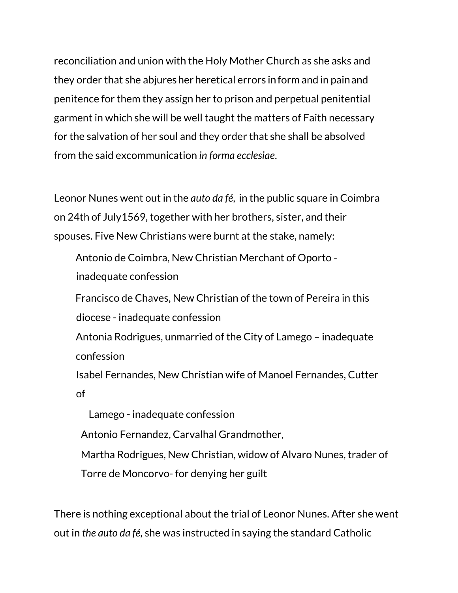reconciliation and union with the Holy Mother Church as she asks and they order that she abjures her heretical errors in form and in pain and penitence for them they assign her to prison and perpetual penitential garment in which she will be well taught the matters of Faith necessary for the salvation of her soul and they order that she shall be absolved from the said excommunication *in forma ecclesiae*.

Leonor Nunes went out in the *auto da fé*, in the public square in Coimbra on 24th of July1569, together with her brothers, sister, and their spouses. Five New Christians were burnt at the stake, namely:

Antonio de Coimbra, New Christian Merchant of Oporto inadequate confession

Francisco de Chaves, New Christian of the town of Pereira in this diocese - inadequate confession

Antonia Rodrigues, unmarried of the City of Lamego – inadequate confession

Isabel Fernandes, New Christian wife of Manoel Fernandes, Cutter of

Lamego - inadequate confession

Antonio Fernandez, Carvalhal Grandmother,

Martha Rodrigues, New Christian, widow of Alvaro Nunes, trader of

Torre de Moncorvo- for denying her guilt

There is nothing exceptional about the trial of Leonor Nunes. After she went out in *the auto da fé,* she was instructed in saying the standard Catholic